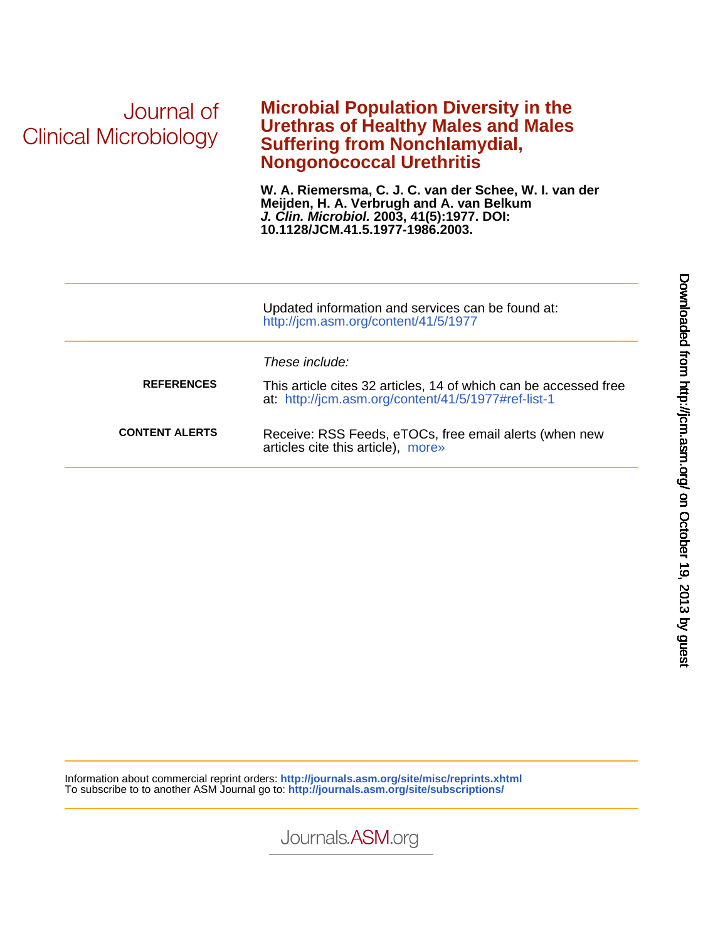# Journal of **Clinical Microbiology**

### **Nongonococcal Urethritis Suffering from Nonchlamydial, Urethras of Healthy Males and Males Microbial Population Diversity in the**

**10.1128/JCM.41.5.1977-1986.2003. J. Clin. Microbiol. 2003, 41(5):1977. DOI: Meijden, H. A. Verbrugh and A. van Belkum W. A. Riemersma, C. J. C. van der Schee, W. I. van der**

|                       | Updated information and services can be found at:<br>http://jcm.asm.org/content/41/5/1977                                                 |
|-----------------------|-------------------------------------------------------------------------------------------------------------------------------------------|
| <b>REFERENCES</b>     | These include:<br>This article cites 32 articles, 14 of which can be accessed free<br>at: http://jcm.asm.org/content/41/5/1977#ref-list-1 |
| <b>CONTENT ALERTS</b> | Receive: RSS Feeds, eTOCs, free email alerts (when new<br>articles cite this article), more»                                              |

Information about commercial reprint orders: **http://journals.asm.org/site/misc/reprints.xhtml** To subscribe to to another ASM Journal go to: **http://journals.asm.org/site/subscriptions/**

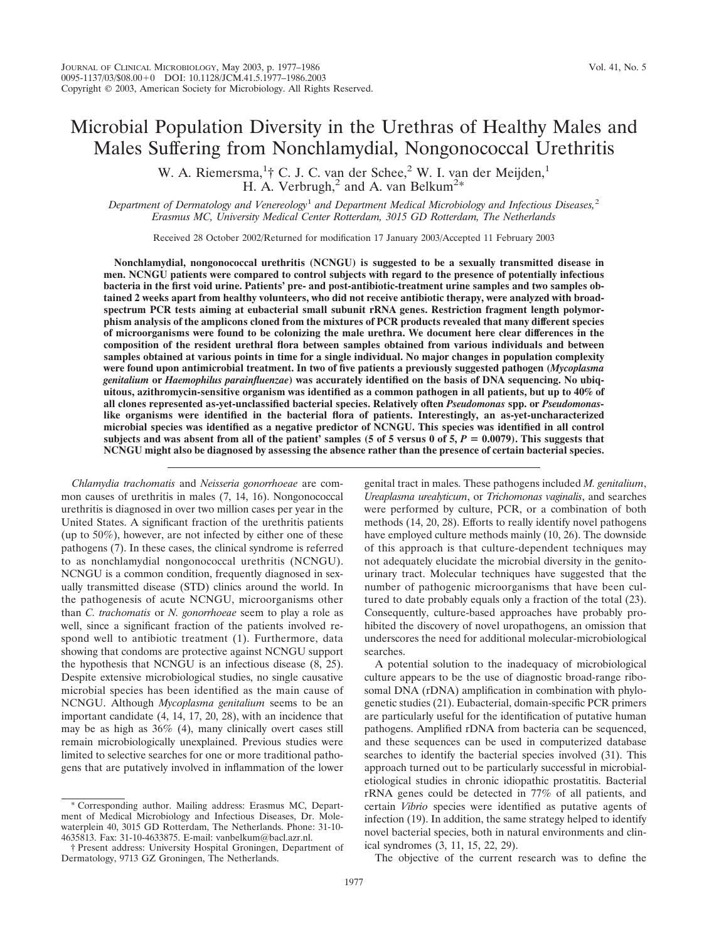## Microbial Population Diversity in the Urethras of Healthy Males and Males Suffering from Nonchlamydial, Nongonococcal Urethritis

W. A. Riemersma,<sup>1</sup>† C. J. C. van der Schee,<sup>2</sup> W. I. van der Meijden,<sup>1</sup> H. A. Verbrugh,<sup>2</sup> and A. van Belkum<sup>2\*</sup>

*Department of Dermatology and Venereology*<sup>1</sup> *and Department Medical Microbiology and Infectious Diseases,*<sup>2</sup> *Erasmus MC, University Medical Center Rotterdam, 3015 GD Rotterdam, The Netherlands*

Received 28 October 2002/Returned for modification 17 January 2003/Accepted 11 February 2003

**Nonchlamydial, nongonococcal urethritis (NCNGU) is suggested to be a sexually transmitted disease in men. NCNGU patients were compared to control subjects with regard to the presence of potentially infectious bacteria in the first void urine. Patients' pre- and post-antibiotic-treatment urine samples and two samples obtained 2 weeks apart from healthy volunteers, who did not receive antibiotic therapy, were analyzed with broadspectrum PCR tests aiming at eubacterial small subunit rRNA genes. Restriction fragment length polymorphism analysis of the amplicons cloned from the mixtures of PCR products revealed that many different species of microorganisms were found to be colonizing the male urethra. We document here clear differences in the composition of the resident urethral flora between samples obtained from various individuals and between samples obtained at various points in time for a single individual. No major changes in population complexity were found upon antimicrobial treatment. In two of five patients a previously suggested pathogen (***Mycoplasma genitalium* **or** *Haemophilus parainfluenzae***) was accurately identified on the basis of DNA sequencing. No ubiquitous, azithromycin-sensitive organism was identified as a common pathogen in all patients, but up to 40% of all clones represented as-yet-unclassified bacterial species. Relatively often** *Pseudomonas* **spp. or** *Pseudomonas***like organisms were identified in the bacterial flora of patients. Interestingly, an as-yet-uncharacterized microbial species was identified as a negative predictor of NCNGU. This species was identified in all control** subjects and was absent from all of the patient' samples (5 of 5 versus 0 of 5,  $P = 0.0079$ ). This suggests that **NCNGU might also be diagnosed by assessing the absence rather than the presence of certain bacterial species.**

*Chlamydia trachomatis* and *Neisseria gonorrhoeae* are common causes of urethritis in males (7, 14, 16). Nongonococcal urethritis is diagnosed in over two million cases per year in the United States. A significant fraction of the urethritis patients (up to 50%), however, are not infected by either one of these pathogens (7). In these cases, the clinical syndrome is referred to as nonchlamydial nongonococcal urethritis (NCNGU). NCNGU is a common condition, frequently diagnosed in sexually transmitted disease (STD) clinics around the world. In the pathogenesis of acute NCNGU, microorganisms other than *C. trachomatis* or *N. gonorrhoeae* seem to play a role as well, since a significant fraction of the patients involved respond well to antibiotic treatment (1). Furthermore, data showing that condoms are protective against NCNGU support the hypothesis that NCNGU is an infectious disease (8, 25). Despite extensive microbiological studies, no single causative microbial species has been identified as the main cause of NCNGU. Although *Mycoplasma genitalium* seems to be an important candidate (4, 14, 17, 20, 28), with an incidence that may be as high as 36% (4), many clinically overt cases still remain microbiologically unexplained. Previous studies were limited to selective searches for one or more traditional pathogens that are putatively involved in inflammation of the lower

\* Corresponding author. Mailing address: Erasmus MC, Department of Medical Microbiology and Infectious Diseases, Dr. Molewaterplein 40, 3015 GD Rotterdam, The Netherlands. Phone: 31-10- 4635813. Fax: 31-10-4633875. E-mail: vanbelkum@bacl.azr.nl.

† Present address: University Hospital Groningen, Department of Dermatology, 9713 GZ Groningen, The Netherlands.

genital tract in males. These pathogens included *M. genitalium*, *Ureaplasma urealyticum*, or *Trichomonas vaginalis*, and searches were performed by culture, PCR, or a combination of both methods (14, 20, 28). Efforts to really identify novel pathogens have employed culture methods mainly (10, 26). The downside of this approach is that culture-dependent techniques may not adequately elucidate the microbial diversity in the genitourinary tract. Molecular techniques have suggested that the number of pathogenic microorganisms that have been cultured to date probably equals only a fraction of the total (23). Consequently, culture-based approaches have probably prohibited the discovery of novel uropathogens, an omission that underscores the need for additional molecular-microbiological searches.

A potential solution to the inadequacy of microbiological culture appears to be the use of diagnostic broad-range ribosomal DNA (rDNA) amplification in combination with phylogenetic studies (21). Eubacterial, domain-specific PCR primers are particularly useful for the identification of putative human pathogens. Amplified rDNA from bacteria can be sequenced, and these sequences can be used in computerized database searches to identify the bacterial species involved (31). This approach turned out to be particularly successful in microbialetiological studies in chronic idiopathic prostatitis. Bacterial rRNA genes could be detected in 77% of all patients, and certain *Vibrio* species were identified as putative agents of infection (19). In addition, the same strategy helped to identify novel bacterial species, both in natural environments and clinical syndromes (3, 11, 15, 22, 29).

The objective of the current research was to define the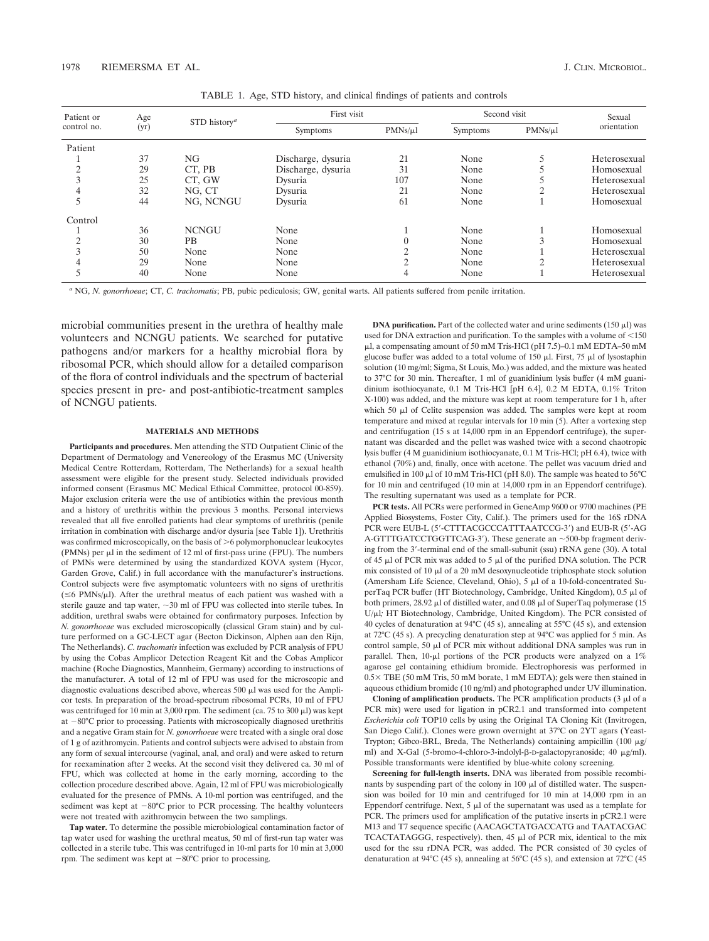*<sup>a</sup>* NG, *N. gonorrhoeae*; CT, *C. trachomatis*; PB, pubic pediculosis; GW, genital warts. All patients suffered from penile irritation.

microbial communities present in the urethra of healthy male volunteers and NCNGU patients. We searched for putative pathogens and/or markers for a healthy microbial flora by ribosomal PCR, which should allow for a detailed comparison of the flora of control individuals and the spectrum of bacterial species present in pre- and post-antibiotic-treatment samples of NCNGU patients.

#### **MATERIALS AND METHODS**

**Participants and procedures.** Men attending the STD Outpatient Clinic of the Department of Dermatology and Venereology of the Erasmus MC (University Medical Centre Rotterdam, Rotterdam, The Netherlands) for a sexual health assessment were eligible for the present study. Selected individuals provided informed consent (Erasmus MC Medical Ethical Committee, protocol 00-859). Major exclusion criteria were the use of antibiotics within the previous month and a history of urethritis within the previous 3 months. Personal interviews revealed that all five enrolled patients had clear symptoms of urethritis (penile irritation in combination with discharge and/or dysuria [see Table 1]). Urethritis was confirmed microscopically, on the basis of  $\geq 6$  polymorphonuclear leukocytes (PMNs) per  $\mu$ l in the sediment of 12 ml of first-pass urine (FPU). The numbers of PMNs were determined by using the standardized KOVA system (Hycor, Garden Grove, Calif.) in full accordance with the manufacturer's instructions. Control subjects were five asymptomatic volunteers with no signs of urethritis  $(\leq 6$  PMNs/ $\mu$ l). After the urethral meatus of each patient was washed with a sterile gauze and tap water,  $\sim$  30 ml of FPU was collected into sterile tubes. In addition, urethral swabs were obtained for confirmatory purposes. Infection by *N. gonorrhoeae* was excluded microscopically (classical Gram stain) and by culture performed on a GC-LECT agar (Becton Dickinson, Alphen aan den Rijn, The Netherlands). *C. trachomatis* infection was excluded by PCR analysis of FPU by using the Cobas Amplicor Detection Reagent Kit and the Cobas Amplicor machine (Roche Diagnostics, Mannheim, Germany) according to instructions of the manufacturer. A total of 12 ml of FPU was used for the microscopic and diagnostic evaluations described above, whereas 500  $\mu$ l was used for the Amplicor tests. In preparation of the broad-spectrum ribosomal PCRs, 10 ml of FPU was centrifuged for 10 min at 3,000 rpm. The sediment (ca. 75 to 300  $\mu$ l) was kept at  $-80^{\circ}$ C prior to processing. Patients with microscopically diagnosed urethritis and a negative Gram stain for *N. gonorrhoeae* were treated with a single oral dose of 1 g of azithromycin. Patients and control subjects were advised to abstain from any form of sexual intercourse (vaginal, anal, and oral) and were asked to return for reexamination after 2 weeks. At the second visit they delivered ca. 30 ml of FPU, which was collected at home in the early morning, according to the collection procedure described above. Again, 12 ml of FPU was microbiologically evaluated for the presence of PMNs. A 10-ml portion was centrifuged, and the sediment was kept at  $-80^{\circ}$ C prior to PCR processing. The healthy volunteers were not treated with azithromycin between the two samplings.

**Tap water.** To determine the possible microbiological contamination factor of tap water used for washing the urethral meatus, 50 ml of first-run tap water was collected in a sterile tube. This was centrifuged in 10-ml parts for 10 min at 3,000 rpm. The sediment was kept at  $-80^{\circ}$ C prior to processing.

**DNA purification.** Part of the collected water and urine sediments  $(150 \mu l)$  was used for DNA extraction and purification. To the samples with a volume of  $<$ 150 l, a compensating amount of 50 mM Tris-HCl (pH 7.5)–0.1 mM EDTA–50 mM glucose buffer was added to a total volume of 150  $\mu$ l. First, 75  $\mu$ l of lysostaphin solution (10 mg/ml; Sigma, St Louis, Mo.) was added, and the mixture was heated to 37°C for 30 min. Thereafter, 1 ml of guanidinium lysis buffer (4 mM guanidinium isothiocyanate, 0.1 M Tris-HCl [pH 6.4], 0.2 M EDTA, 0.1% Triton X-100) was added, and the mixture was kept at room temperature for 1 h, after which 50  $\mu$ l of Celite suspension was added. The samples were kept at room temperature and mixed at regular intervals for 10 min (5). After a vortexing step and centrifugation  $(15 \text{ s at } 14,000 \text{ rpm}$  in an Eppendorf centrifuge), the supernatant was discarded and the pellet was washed twice with a second chaotropic lysis buffer (4 M guanidinium isothiocyanate, 0.1 M Tris-HCl; pH 6.4), twice with ethanol (70%) and, finally, once with acetone. The pellet was vacuum dried and emulsified in 100  $\mu$ l of 10 mM Tris-HCl (pH 8.0). The sample was heated to 56°C for 10 min and centrifuged (10 min at 14,000 rpm in an Eppendorf centrifuge). The resulting supernatant was used as a template for PCR.

**PCR tests.** All PCRs were performed in GeneAmp 9600 or 9700 machines (PE Applied Biosystems, Foster City, Calif.). The primers used for the 16S rDNA PCR were EUB-L (5'-CTTTACGCCCATTTAATCCG-3') and EUB-R (5'-AG A-GTTTGATCCTGGTTCAG-3'). These generate an  $\sim$  500-bp fragment deriving from the 3-terminal end of the small-subunit (ssu) rRNA gene (30). A total of 45  $\mu$ l of PCR mix was added to 5  $\mu$ l of the purified DNA solution. The PCR mix consisted of 10  $\mu$ l of a 20 mM desoxynucleotide triphosphate stock solution (Amersham Life Science, Cleveland, Ohio),  $5 \mu$ l of a 10-fold-concentrated SuperTaq PCR buffer (HT Biotechnology, Cambridge, United Kingdom), 0.5 µl of both primers,  $28.92 \mu l$  of distilled water, and  $0.08 \mu l$  of SuperTaq polymerase (15) U/µl; HT Biotechnology, Cambridge, United Kingdom). The PCR consisted of 40 cycles of denaturation at 94°C (45 s), annealing at 55°C (45 s), and extension at 72°C (45 s). A precycling denaturation step at 94°C was applied for 5 min. As control sample, 50  $\mu$ l of PCR mix without additional DNA samples was run in parallel. Then,  $10$ - $\mu$ l portions of the PCR products were analyzed on a  $1\%$ agarose gel containing ethidium bromide. Electrophoresis was performed in  $0.5 \times$  TBE (50 mM Tris, 50 mM borate, 1 mM EDTA); gels were then stained in aqueous ethidium bromide (10 ng/ml) and photographed under UV illumination.

**Cloning of amplification products.** The PCR amplification products  $(3 \mu)$  of a PCR mix) were used for ligation in pCR2.1 and transformed into competent *Escherichia coli* TOP10 cells by using the Original TA Cloning Kit (Invitrogen, San Diego Calif.). Clones were grown overnight at 37°C on 2YT agars (Yeast-Trypton; Gibco-BRL, Breda, The Netherlands) containing ampicillin (100 µg/ ml) and X-Gal (5-bromo-4-chloro-3-indolyl-β-D-galactopyranoside; 40 μg/ml). Possible transformants were identified by blue-white colony screening.

**Screening for full-length inserts.** DNA was liberated from possible recombinants by suspending part of the colony in  $100 \mu l$  of distilled water. The suspension was boiled for 10 min and centrifuged for 10 min at 14,000 rpm in an Eppendorf centrifuge. Next,  $5 \mu l$  of the supernatant was used as a template for PCR. The primers used for amplification of the putative inserts in pCR2.1 were M13 and T7 sequence specific (AACAGCTATGACCATG and TAATACGAC TCACTATAGGG, respectively). then, 45 µl of PCR mix, identical to the mix used for the ssu rDNA PCR, was added. The PCR consisted of 30 cycles of denaturation at 94°C (45 s), annealing at 56°C (45 s), and extension at 72°C (45

TABLE 1. Age, STD history, and clinical findings of patients and controls

| Patient or<br>control no. | Age<br>(yr) | STD history <sup><i>a</i></sup> | First visit        |              | Second visit |              | Sexual       |
|---------------------------|-------------|---------------------------------|--------------------|--------------|--------------|--------------|--------------|
|                           |             |                                 | Symptoms           | $PMNs/\mu l$ | Symptoms     | $PMNs/\mu l$ | orientation  |
| Patient                   |             |                                 |                    |              |              |              |              |
|                           | 37          | NG                              | Discharge, dysuria | 21           | None         |              | Heterosexual |
|                           | 29          | CT, PB                          | Discharge, dysuria | 31           | None         |              | Homosexual   |
|                           | 25          | CT. GW                          | Dysuria            | 107          | None         |              | Heterosexual |
|                           | 32          | NG, CT                          | Dysuria            | 21           | None         |              | Heterosexual |
|                           | 44          | NG, NCNGU                       | Dysuria            | 61           | None         |              | Homosexual   |
| Control                   |             |                                 |                    |              |              |              |              |
|                           | 36          | <b>NCNGU</b>                    | None               |              | None         |              | Homosexual   |
|                           | 30          | PВ                              | None               |              | None         | 3            | Homosexual   |
|                           | 50          | None                            | None               |              | None         |              | Heterosexual |
|                           | 29          | None                            | None               |              | None         | ◠            | Heterosexual |
|                           | 40          | None                            | None               | 4            | None         |              | Heterosexual |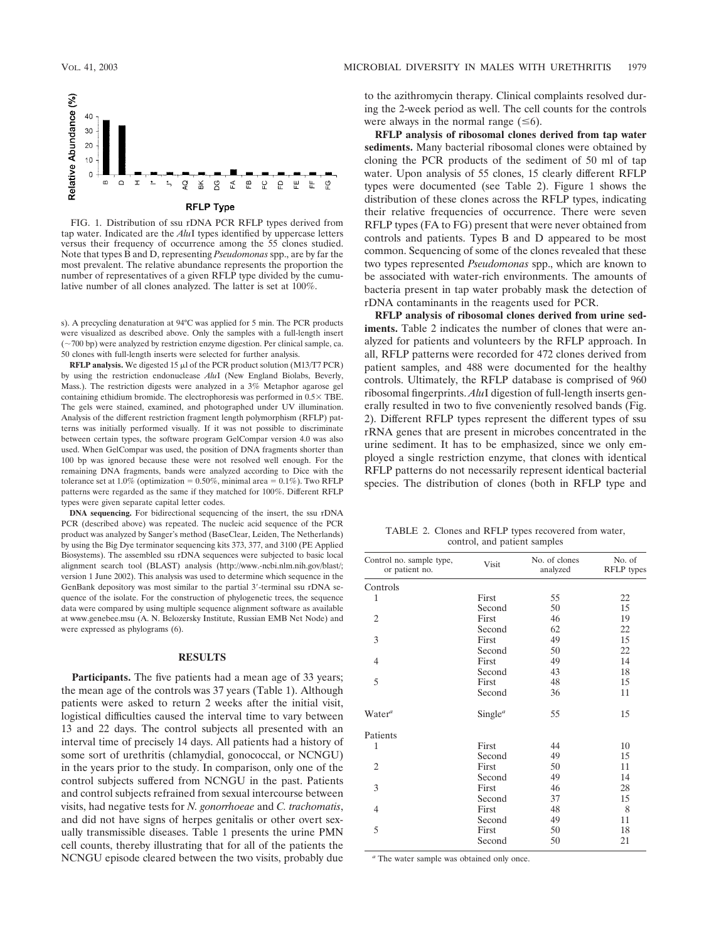

FIG. 1. Distribution of ssu rDNA PCR RFLP types derived from tap water. Indicated are the *Alu*I types identified by uppercase letters versus their frequency of occurrence among the 55 clones studied. Note that types B and D, representing *Pseudomonas* spp., are by far the most prevalent. The relative abundance represents the proportion the number of representatives of a given RFLP type divided by the cumulative number of all clones analyzed. The latter is set at 100%.

s). A precycling denaturation at 94°C was applied for 5 min. The PCR products were visualized as described above. Only the samples with a full-length insert  $(\sim700$  bp) were analyzed by restriction enzyme digestion. Per clinical sample, ca. 50 clones with full-length inserts were selected for further analysis.

**RFLP analysis.** We digested 15  $\mu$ l of the PCR product solution (M13/T7 PCR) by using the restriction endonuclease *Alu*I (New England Biolabs, Beverly, Mass.). The restriction digests were analyzed in a 3% Metaphor agarose gel containing ethidium bromide. The electrophoresis was performed in  $0.5 \times$  TBE. The gels were stained, examined, and photographed under UV illumination. Analysis of the different restriction fragment length polymorphism (RFLP) patterns was initially performed visually. If it was not possible to discriminate between certain types, the software program GelCompar version 4.0 was also used. When GelCompar was used, the position of DNA fragments shorter than 100 bp was ignored because these were not resolved well enough. For the remaining DNA fragments, bands were analyzed according to Dice with the tolerance set at 1.0% (optimization =  $0.50\%$ , minimal area =  $0.1\%$ ). Two RFLP patterns were regarded as the same if they matched for 100%. Different RFLP types were given separate capital letter codes.

**DNA sequencing.** For bidirectional sequencing of the insert, the ssu rDNA PCR (described above) was repeated. The nucleic acid sequence of the PCR product was analyzed by Sanger's method (BaseClear, Leiden, The Netherlands) by using the Big Dye terminator sequencing kits 373, 377, and 3100 (PE Applied Biosystems). The assembled ssu rDNA sequences were subjected to basic local alignment search tool (BLAST) analysis (http://www.-ncbi.nlm.nih.gov/blast/; version 1 June 2002). This analysis was used to determine which sequence in the GenBank depository was most similar to the partial 3'-terminal ssu rDNA sequence of the isolate. For the construction of phylogenetic trees, the sequence data were compared by using multiple sequence alignment software as available at www.genebee.msu (A. N. Belozersky Institute, Russian EMB Net Node) and were expressed as phylograms (6).

#### **RESULTS**

Participants. The five patients had a mean age of 33 years; the mean age of the controls was 37 years (Table 1). Although patients were asked to return 2 weeks after the initial visit, logistical difficulties caused the interval time to vary between 13 and 22 days. The control subjects all presented with an interval time of precisely 14 days. All patients had a history of some sort of urethritis (chlamydial, gonococcal, or NCNGU) in the years prior to the study. In comparison, only one of the control subjects suffered from NCNGU in the past. Patients and control subjects refrained from sexual intercourse between visits, had negative tests for *N. gonorrhoeae* and *C. trachomatis*, and did not have signs of herpes genitalis or other overt sexually transmissible diseases. Table 1 presents the urine PMN cell counts, thereby illustrating that for all of the patients the NCNGU episode cleared between the two visits, probably due

to the azithromycin therapy. Clinical complaints resolved during the 2-week period as well. The cell counts for the controls were always in the normal range  $(\leq 6)$ .

**RFLP analysis of ribosomal clones derived from tap water sediments.** Many bacterial ribosomal clones were obtained by cloning the PCR products of the sediment of 50 ml of tap water. Upon analysis of 55 clones, 15 clearly different RFLP types were documented (see Table 2). Figure 1 shows the distribution of these clones across the RFLP types, indicating their relative frequencies of occurrence. There were seven RFLP types (FA to FG) present that were never obtained from controls and patients. Types B and D appeared to be most common. Sequencing of some of the clones revealed that these two types represented *Pseudomonas* spp., which are known to be associated with water-rich environments. The amounts of bacteria present in tap water probably mask the detection of rDNA contaminants in the reagents used for PCR.

**RFLP analysis of ribosomal clones derived from urine sediments.** Table 2 indicates the number of clones that were analyzed for patients and volunteers by the RFLP approach. In all, RFLP patterns were recorded for 472 clones derived from patient samples, and 488 were documented for the healthy controls. Ultimately, the RFLP database is comprised of 960 ribosomal fingerprints. *Alu*I digestion of full-length inserts generally resulted in two to five conveniently resolved bands (Fig. 2). Different RFLP types represent the different types of ssu rRNA genes that are present in microbes concentrated in the urine sediment. It has to be emphasized, since we only employed a single restriction enzyme, that clones with identical RFLP patterns do not necessarily represent identical bacterial species. The distribution of clones (both in RFLP type and

TABLE 2. Clones and RFLP types recovered from water, control, and patient samples

| Control no. sample type,<br>or patient no. | Visit                            | No. of clones<br>analyzed | No. of<br><b>RFLP</b> types |
|--------------------------------------------|----------------------------------|---------------------------|-----------------------------|
| Controls                                   |                                  |                           |                             |
| 1                                          | First                            | 55                        | 22                          |
|                                            | Second                           | 50                        | 15                          |
| 2                                          | First                            | 46                        | 19                          |
|                                            | Second                           | 62                        | 22                          |
| 3                                          | First                            | 49                        | 15                          |
|                                            | Second                           | 50                        | 22                          |
| $\overline{4}$                             | First                            | 49                        | 14                          |
|                                            | Second                           | 43                        | 18                          |
| 5                                          | First                            | 48                        | 15                          |
|                                            | Second                           | 36                        | 11                          |
| Water <sup>a</sup>                         | Single <sup><math>a</math></sup> | 55                        | 15                          |
| Patients                                   |                                  |                           |                             |
| 1                                          | First                            | 44                        | 10                          |
|                                            | Second                           | 49                        | 15                          |
| $\overline{c}$                             | First                            | 50                        | 11                          |
|                                            | Second                           | 49                        | 14                          |
| 3                                          | First                            | 46                        | 28                          |
|                                            | Second                           | 37                        | 15                          |
| $\overline{4}$                             | First                            | 48                        | 8                           |
|                                            | Second                           | 49                        | 11                          |
| 5                                          | First                            | 50                        | 18                          |
|                                            | Second                           | 50                        | 21                          |

*<sup>a</sup>* The water sample was obtained only once.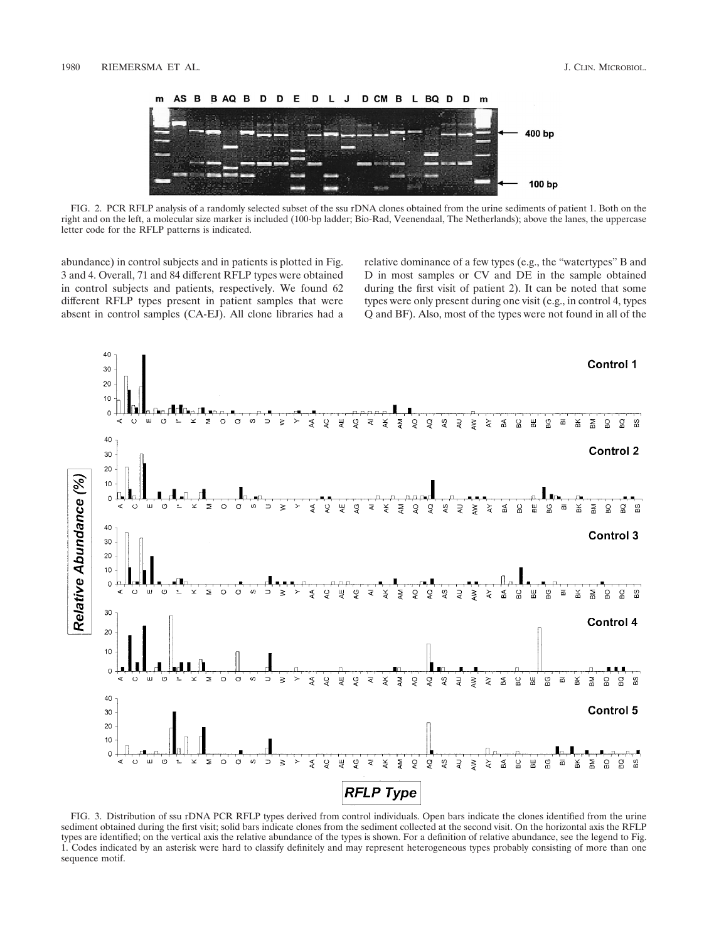

FIG. 2. PCR RFLP analysis of a randomly selected subset of the ssu rDNA clones obtained from the urine sediments of patient 1. Both on the right and on the left, a molecular size marker is included (100-bp ladder; Bio-Rad, Veenendaal, The Netherlands); above the lanes, the uppercase letter code for the RFLP patterns is indicated.

abundance) in control subjects and in patients is plotted in Fig. 3 and 4. Overall, 71 and 84 different RFLP types were obtained in control subjects and patients, respectively. We found 62 different RFLP types present in patient samples that were absent in control samples (CA-EJ). All clone libraries had a relative dominance of a few types (e.g., the "watertypes" B and D in most samples or CV and DE in the sample obtained during the first visit of patient 2). It can be noted that some types were only present during one visit (e.g., in control 4, types Q and BF). Also, most of the types were not found in all of the



FIG. 3. Distribution of ssu rDNA PCR RFLP types derived from control individuals. Open bars indicate the clones identified from the urine sediment obtained during the first visit; solid bars indicate clones from the sediment collected at the second visit. On the horizontal axis the RFLP types are identified; on the vertical axis the relative abundance of the types is shown. For a definition of relative abundance, see the legend to Fig. 1. Codes indicated by an asterisk were hard to classify definitely and may represent heterogeneous types probably consisting of more than one sequence motif.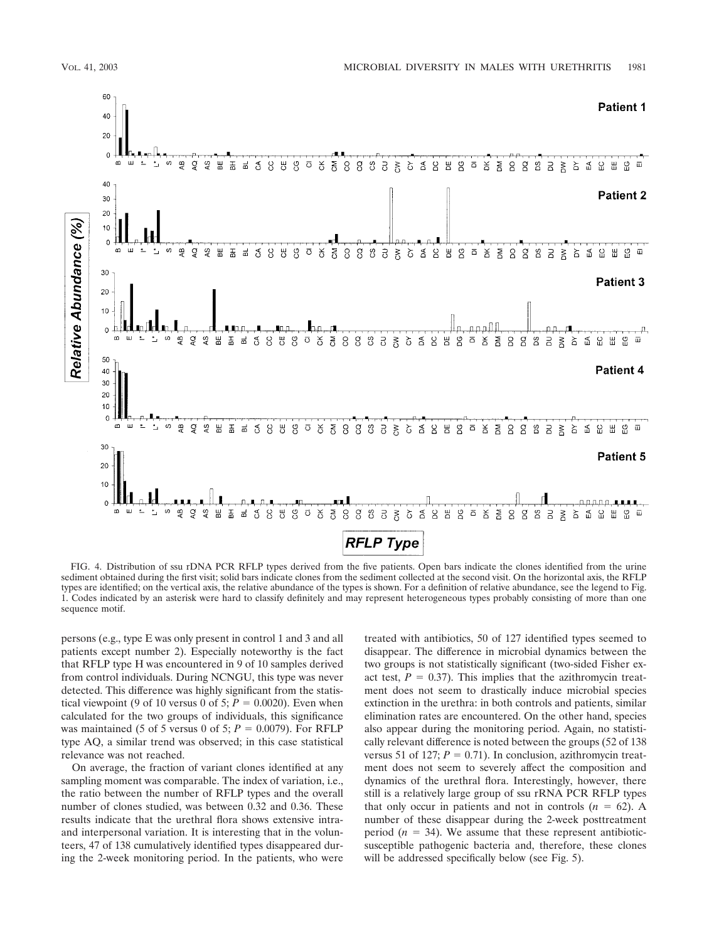

FIG. 4. Distribution of ssu rDNA PCR RFLP types derived from the five patients. Open bars indicate the clones identified from the urine sediment obtained during the first visit; solid bars indicate clones from the sediment collected at the second visit. On the horizontal axis, the RFLP types are identified; on the vertical axis, the relative abundance of the types is shown. For a definition of relative abundance, see the legend to Fig. 1. Codes indicated by an asterisk were hard to classify definitely and may represent heterogeneous types probably consisting of more than one sequence motif.

persons (e.g., type E was only present in control 1 and 3 and all patients except number 2). Especially noteworthy is the fact that RFLP type H was encountered in 9 of 10 samples derived from control individuals. During NCNGU, this type was never detected. This difference was highly significant from the statistical viewpoint (9 of 10 versus 0 of 5;  $P = 0.0020$ ). Even when calculated for the two groups of individuals, this significance was maintained (5 of 5 versus 0 of 5;  $P = 0.0079$ ). For RFLP type AQ, a similar trend was observed; in this case statistical relevance was not reached.

On average, the fraction of variant clones identified at any sampling moment was comparable. The index of variation, i.e., the ratio between the number of RFLP types and the overall number of clones studied, was between 0.32 and 0.36. These results indicate that the urethral flora shows extensive intraand interpersonal variation. It is interesting that in the volunteers, 47 of 138 cumulatively identified types disappeared during the 2-week monitoring period. In the patients, who were

treated with antibiotics, 50 of 127 identified types seemed to disappear. The difference in microbial dynamics between the two groups is not statistically significant (two-sided Fisher exact test,  $P = 0.37$ ). This implies that the azithromycin treatment does not seem to drastically induce microbial species extinction in the urethra: in both controls and patients, similar elimination rates are encountered. On the other hand, species also appear during the monitoring period. Again, no statistically relevant difference is noted between the groups (52 of 138 versus 51 of 127;  $P = 0.71$ ). In conclusion, azithromycin treatment does not seem to severely affect the composition and dynamics of the urethral flora. Interestingly, however, there still is a relatively large group of ssu rRNA PCR RFLP types that only occur in patients and not in controls  $(n = 62)$ . A number of these disappear during the 2-week posttreatment period  $(n = 34)$ . We assume that these represent antibioticsusceptible pathogenic bacteria and, therefore, these clones will be addressed specifically below (see Fig. 5).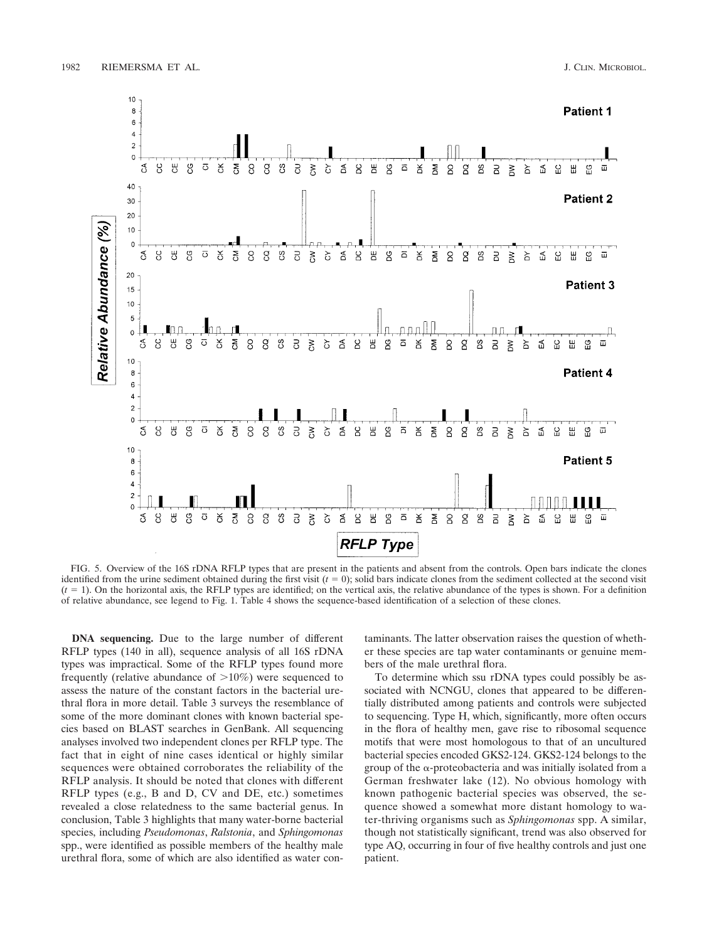

FIG. 5. Overview of the 16S rDNA RFLP types that are present in the patients and absent from the controls. Open bars indicate the clones identified from the urine sediment obtained during the first visit  $(t = 0)$ ; solid bars indicate clones from the sediment collected at the second visit  $(t = 1)$ . On the horizontal axis, the RFLP types are identified; on the vertical axis, the relative abundance of the types is shown. For a definition of relative abundance, see legend to Fig. 1. Table 4 shows the sequence-based identification of a selection of these clones.

**DNA sequencing.** Due to the large number of different RFLP types (140 in all), sequence analysis of all 16S rDNA types was impractical. Some of the RFLP types found more frequently (relative abundance of  $>10\%$ ) were sequenced to assess the nature of the constant factors in the bacterial urethral flora in more detail. Table 3 surveys the resemblance of some of the more dominant clones with known bacterial species based on BLAST searches in GenBank. All sequencing analyses involved two independent clones per RFLP type. The fact that in eight of nine cases identical or highly similar sequences were obtained corroborates the reliability of the RFLP analysis. It should be noted that clones with different RFLP types (e.g., B and D, CV and DE, etc.) sometimes revealed a close relatedness to the same bacterial genus. In conclusion, Table 3 highlights that many water-borne bacterial species, including *Pseudomonas*, *Ralstonia*, and *Sphingomonas* spp., were identified as possible members of the healthy male urethral flora, some of which are also identified as water contaminants. The latter observation raises the question of whether these species are tap water contaminants or genuine members of the male urethral flora.

To determine which ssu rDNA types could possibly be associated with NCNGU, clones that appeared to be differentially distributed among patients and controls were subjected to sequencing. Type H, which, significantly, more often occurs in the flora of healthy men, gave rise to ribosomal sequence motifs that were most homologous to that of an uncultured bacterial species encoded GKS2-124. GKS2-124 belongs to the group of the  $\alpha$ -proteobacteria and was initially isolated from a German freshwater lake (12). No obvious homology with known pathogenic bacterial species was observed, the sequence showed a somewhat more distant homology to water-thriving organisms such as *Sphingomonas* spp. A similar, though not statistically significant, trend was also observed for type AQ, occurring in four of five healthy controls and just one patient.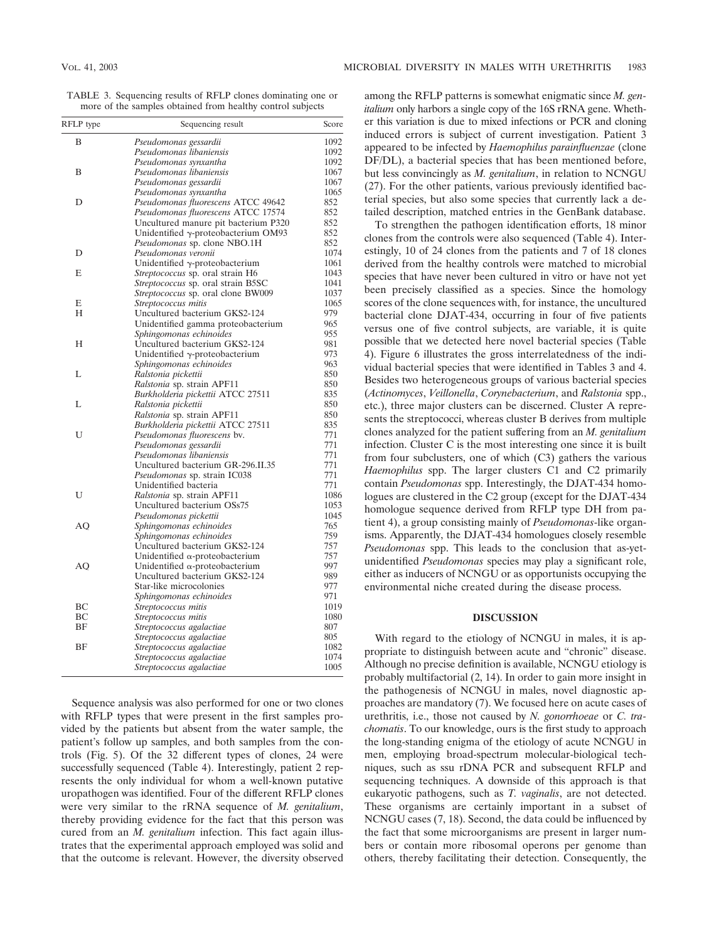TABLE 3. Sequencing results of RFLP clones dominating one or more of the samples obtained from healthy control subjects

| RFLP type | Sequencing result                         | Score |
|-----------|-------------------------------------------|-------|
| B         | Pseudomonas gessardii                     | 1092  |
|           | Pseudomonas libaniensis                   | 1092  |
|           | Pseudomonas synxantha                     | 1092  |
| B         | Pseudomonas libaniensis                   | 1067  |
|           | Pseudomonas gessardii                     | 1067  |
|           | Pseudomonas synxantha                     | 1065  |
| D         | Pseudomonas fluorescens ATCC 49642        | 852   |
|           | Pseudomonas fluorescens ATCC 17574        | 852   |
|           | Uncultured manure pit bacterium P320      | 852   |
|           | Unidentified y-proteobacterium OM93       | 852   |
|           | Pseudomonas sp. clone NBO.1H              | 852   |
| D         | Pseudomonas veronii                       | 1074  |
|           | Unidentified $\gamma$ -proteobacterium    | 1061  |
| E         | Streptococcus sp. oral strain H6          | 1043  |
|           | <i>Streptococcus</i> sp. oral strain B5SC | 1041  |
|           | <i>Streptococcus</i> sp. oral clone BW009 | 1037  |
| E         | Streptococcus mitis                       | 1065  |
| H         | Uncultured bacterium GKS2-124             | 979   |
|           | Unidentified gamma proteobacterium        | 965   |
|           | Sphingomonas echinoides                   | 955   |
| Н         | Uncultured bacterium GKS2-124             | 981   |
|           | Unidentified $\gamma$ -proteobacterium    | 973   |
|           | Sphingomonas echinoides                   | 963   |
| L         | Ralstonia pickettii                       | 850   |
|           | Ralstonia sp. strain APF11                | 850   |
|           | Burkholderia pickettii ATCC 27511         | 835   |
| L         | Ralstonia pickettii                       | 850   |
|           | Ralstonia sp. strain APF11                | 850   |
|           | Burkholderia pickettii ATCC 27511         | 835   |
| U         | Pseudomonas fluorescens by.               | 771   |
|           | Pseudomonas gessardii                     | 771   |
|           | Pseudomonas libaniensis                   | 771   |
|           | Uncultured bacterium GR-296.II.35         | 771   |
|           | <i>Pseudomonas</i> sp. strain IC038       | 771   |
|           | Unidentified bacteria                     | 771   |
| U         | Ralstonia sp. strain APF11                | 1086  |
|           | Uncultured bacterium OSs75                | 1053  |
|           | Pseudomonas pickettii                     | 1045  |
| AO        | Sphingomonas echinoides                   | 765   |
|           | Sphingomonas echinoides                   | 759   |
|           | Uncultured bacterium GKS2-124             | 757   |
|           | Unidentified $\alpha$ -proteobacterium    | 757   |
| AO        | Unidentified $\alpha$ -proteobacterium    | 997   |
|           | Uncultured bacterium GKS2-124             | 989   |
|           | Star-like microcolonies                   | 977   |
|           | Sphingomonas echinoides                   | 971   |
| BC        | Streptococcus mitis                       | 1019  |
| BC        | Streptococcus mitis                       | 1080  |
| <b>BF</b> | Streptococcus agalactiae                  | 807   |
|           | Streptococcus agalactiae                  | 805   |
| BF        | Streptococcus agalactiae                  | 1082  |
|           | Streptococcus agalactiae                  | 1074  |
|           | Streptococcus agalactiae                  | 1005  |
|           |                                           |       |

Sequence analysis was also performed for one or two clones with RFLP types that were present in the first samples provided by the patients but absent from the water sample, the patient's follow up samples, and both samples from the controls (Fig. 5). Of the 32 different types of clones, 24 were successfully sequenced (Table 4). Interestingly, patient 2 represents the only individual for whom a well-known putative uropathogen was identified. Four of the different RFLP clones were very similar to the rRNA sequence of *M. genitalium*, thereby providing evidence for the fact that this person was cured from an *M. genitalium* infection. This fact again illustrates that the experimental approach employed was solid and that the outcome is relevant. However, the diversity observed

among the RFLP patterns is somewhat enigmatic since *M. genitalium* only harbors a single copy of the 16S rRNA gene. Whether this variation is due to mixed infections or PCR and cloning induced errors is subject of current investigation. Patient 3 appeared to be infected by *Haemophilus parainfluenzae* (clone DF/DL), a bacterial species that has been mentioned before, but less convincingly as *M. genitalium*, in relation to NCNGU (27). For the other patients, various previously identified bacterial species, but also some species that currently lack a detailed description, matched entries in the GenBank database.

To strengthen the pathogen identification efforts, 18 minor clones from the controls were also sequenced (Table 4). Interestingly, 10 of 24 clones from the patients and 7 of 18 clones derived from the healthy controls were matched to microbial species that have never been cultured in vitro or have not yet been precisely classified as a species. Since the homology scores of the clone sequences with, for instance, the uncultured bacterial clone DJAT-434, occurring in four of five patients versus one of five control subjects, are variable, it is quite possible that we detected here novel bacterial species (Table 4). Figure 6 illustrates the gross interrelatedness of the individual bacterial species that were identified in Tables 3 and 4. Besides two heterogeneous groups of various bacterial species (*Actinomyces*, *Veillonella*, *Corynebacterium*, and *Ralstonia* spp., etc.), three major clusters can be discerned. Cluster A represents the streptococci, whereas cluster B derives from multiple clones analyzed for the patient suffering from an *M. genitalium* infection. Cluster C is the most interesting one since it is built from four subclusters, one of which (C3) gathers the various *Haemophilus* spp. The larger clusters C1 and C2 primarily contain *Pseudomonas* spp. Interestingly, the DJAT-434 homologues are clustered in the C2 group (except for the DJAT-434 homologue sequence derived from RFLP type DH from patient 4), a group consisting mainly of *Pseudomonas*-like organisms. Apparently, the DJAT-434 homologues closely resemble *Pseudomonas* spp. This leads to the conclusion that as-yetunidentified *Pseudomonas* species may play a significant role, either as inducers of NCNGU or as opportunists occupying the environmental niche created during the disease process.

### **DISCUSSION**

With regard to the etiology of NCNGU in males, it is appropriate to distinguish between acute and "chronic" disease. Although no precise definition is available, NCNGU etiology is probably multifactorial (2, 14). In order to gain more insight in the pathogenesis of NCNGU in males, novel diagnostic approaches are mandatory (7). We focused here on acute cases of urethritis, i.e., those not caused by *N. gonorrhoeae* or *C. trachomatis*. To our knowledge, ours is the first study to approach the long-standing enigma of the etiology of acute NCNGU in men, employing broad-spectrum molecular-biological techniques, such as ssu rDNA PCR and subsequent RFLP and sequencing techniques. A downside of this approach is that eukaryotic pathogens, such as *T. vaginalis*, are not detected. These organisms are certainly important in a subset of NCNGU cases (7, 18). Second, the data could be influenced by the fact that some microorganisms are present in larger numbers or contain more ribosomal operons per genome than others, thereby facilitating their detection. Consequently, the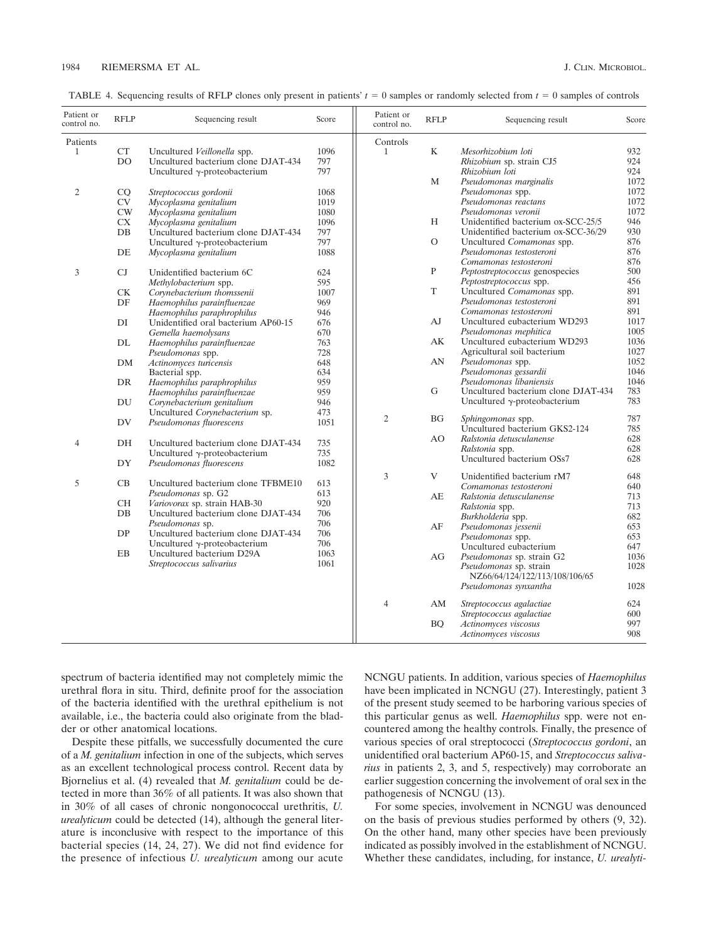| TABLE 4. Sequencing results of RFLP clones only present in patients' $t = 0$ samples or randomly selected from $t = 0$ samples of controls |  |  |
|--------------------------------------------------------------------------------------------------------------------------------------------|--|--|
|                                                                                                                                            |  |  |

| Patient or<br>control no. | <b>RFLP</b> | Sequencing result                    | Score | Patient or<br>control no. | <b>RFLP</b> | Sequencing result                     | Score |
|---------------------------|-------------|--------------------------------------|-------|---------------------------|-------------|---------------------------------------|-------|
| Patients                  |             |                                      |       | Controls                  |             |                                       |       |
| $\mathbf{1}$              | CT          | Uncultured Veillonella spp.          | 1096  | $\mathbf{1}$              | K           | Mesorhizobium loti                    | 932   |
|                           | DO          | Uncultured bacterium clone DJAT-434  | 797   |                           |             | Rhizobium sp. strain CJ5              | 924   |
|                           |             | Uncultured $\gamma$ -proteobacterium | 797   |                           |             | Rhizobium loti                        | 924   |
|                           |             |                                      |       |                           | M           | Pseudomonas marginalis                | 1072  |
| 2                         | CQ          | Streptococcus gordonii               | 1068  |                           |             | Pseudomonas spp.                      | 1072  |
|                           | <b>CV</b>   | Mycoplasma genitalium                | 1019  |                           |             | Pseudomonas reactans                  | 1072  |
|                           | CW          | Mycoplasma genitalium                | 1080  |                           |             | Pseudomonas veronii                   | 1072  |
|                           | <b>CX</b>   | Mycoplasma genitalium                | 1096  |                           | H           | Unidentified bacterium ox-SCC-25/5    | 946   |
|                           | DB          | Uncultured bacterium clone DJAT-434  | 797   |                           |             | Unidentified bacterium ox-SCC-36/29   | 930   |
|                           |             | Uncultured $\gamma$ -proteobacterium | 797   |                           | $\circ$     | Uncultured Comamonas spp.             | 876   |
|                           | DE          | Mycoplasma genitalium                | 1088  |                           |             | Pseudomonas testosteroni              | 876   |
|                           |             |                                      |       |                           |             | Comamonas testosteroni                | 876   |
| 3                         | CJ          | Unidentified bacterium 6C            | 624   |                           | P           | <i>Peptostreptococcus</i> genospecies | 500   |
|                           |             | Methylobacterium spp.                | 595   |                           |             | Peptostreptococcus spp.               | 456   |
|                           | <b>CK</b>   | Corvnebacterium thomssenii           | 1007  |                           | T           | Uncultured Comamonas spp.             | 891   |
|                           | DF          | Haemophilus parainfluenzae           | 969   |                           |             | Pseudomonas testosteroni              | 891   |
|                           |             | Haemophilus paraphrophilus           | 946   |                           |             | Comamonas testosteroni                | 891   |
|                           | DI          | Unidentified oral bacterium AP60-15  | 676   |                           | AJ          | Uncultured eubacterium WD293          | 1017  |
|                           |             | Gemella haemolysans                  | 670   |                           |             | Pseudomonas mephitica                 | 1005  |
|                           | DL          | Haemophilus parainfluenzae           | 763   |                           | AK          | Uncultured eubacterium WD293          | 1036  |
|                           |             | Pseudomonas spp.                     | 728   |                           |             | Agricultural soil bacterium           | 1027  |
|                           | DM          | Actinomyces turicensis               | 648   |                           | AN          | Pseudomonas spp.                      | 1052  |
|                           |             | Bacterial spp.                       | 634   |                           |             | Pseudomonas gessardii                 | 1046  |
|                           | DR          | Haemophilus paraphrophilus           | 959   |                           |             | Pseudomonas libaniensis               | 1046  |
|                           |             | Haemophilus parainfluenzae           | 959   |                           | G           | Uncultured bacterium clone DJAT-434   | 783   |
|                           | DU          | Corynebacterium genitalium           | 946   |                           |             | Uncultured $\gamma$ -proteobacterium  | 783   |
|                           |             | Uncultured Corynebacterium sp.       | 473   | $\overline{2}$            | <b>BG</b>   | Sphingomonas spp.                     | 787   |
|                           | DV          | Pseudomonas fluorescens              | 1051  |                           |             | Uncultured bacterium GKS2-124         | 785   |
|                           |             |                                      |       |                           | AO          | Ralstonia detusculanense              | 628   |
| 4                         | DH          | Uncultured bacterium clone DJAT-434  | 735   |                           |             | Ralstonia spp.                        | 628   |
|                           |             | Uncultured $\gamma$ -proteobacterium | 735   |                           |             | Uncultured bacterium OSs7             | 628   |
|                           | DY          | Pseudomonas fluorescens              | 1082  |                           |             |                                       |       |
|                           |             |                                      |       | 3                         | V           | Unidentified bacterium rM7            | 648   |
| 5                         | CB          | Uncultured bacterium clone TFBME10   | 613   |                           |             | Comamonas testosteroni                | 640   |
|                           |             | Pseudomonas sp. G2                   | 613   |                           | AE          | Ralstonia detusculanense              | 713   |
|                           | <b>CH</b>   | Variovorax sp. strain HAB-30         | 920   |                           |             | Ralstonia spp.                        | 713   |
|                           | $DB$        | Uncultured bacterium clone DJAT-434  | 706   |                           |             | Burkholderia spp.                     | 682   |
|                           |             | Pseudomonas sp.                      | 706   |                           | AF          | Pseudomonas jessenii                  | 653   |
|                           | DP          | Uncultured bacterium clone DJAT-434  | 706   |                           |             | Pseudomonas spp.                      | 653   |
|                           |             | Uncultured $\gamma$ -proteobacterium | 706   |                           |             | Uncultured eubacterium                | 647   |
|                           | EB          | Uncultured bacterium D29A            | 1063  |                           | AG          | Pseudomonas sp. strain G2             | 1036  |
|                           |             | Streptococcus salivarius             | 1061  |                           |             | Pseudomonas sp. strain                | 1028  |
|                           |             |                                      |       |                           |             | NZ66/64/124/122/113/108/106/65        |       |
|                           |             |                                      |       |                           |             | Pseudomonas synxantha                 | 1028  |
|                           |             |                                      |       | $\overline{4}$            | AM          | Streptococcus agalactiae              | 624   |
|                           |             |                                      |       |                           |             | Streptococcus agalactiae              | 600   |
|                           |             |                                      |       |                           | <b>BO</b>   | Actinomyces viscosus                  | 997   |
|                           |             |                                      |       |                           |             | Actinomyces viscosus                  | 908   |

spectrum of bacteria identified may not completely mimic the urethral flora in situ. Third, definite proof for the association of the bacteria identified with the urethral epithelium is not available, i.e., the bacteria could also originate from the bladder or other anatomical locations.

Despite these pitfalls, we successfully documented the cure of a *M. genitalium* infection in one of the subjects, which serves as an excellent technological process control. Recent data by Bjornelius et al. (4) revealed that *M. genitalium* could be detected in more than 36% of all patients. It was also shown that in 30% of all cases of chronic nongonococcal urethritis, *U. urealyticum* could be detected (14), although the general literature is inconclusive with respect to the importance of this bacterial species (14, 24, 27). We did not find evidence for the presence of infectious *U. urealyticum* among our acute

NCNGU patients. In addition, various species of *Haemophilus* have been implicated in NCNGU (27). Interestingly, patient 3 of the present study seemed to be harboring various species of this particular genus as well. *Haemophilus* spp. were not encountered among the healthy controls. Finally, the presence of various species of oral streptococci (*Streptococcus gordoni*, an unidentified oral bacterium AP60-15, and *Streptococcus salivarius* in patients 2, 3, and 5, respectively) may corroborate an earlier suggestion concerning the involvement of oral sex in the pathogenesis of NCNGU (13).

For some species, involvement in NCNGU was denounced on the basis of previous studies performed by others (9, 32). On the other hand, many other species have been previously indicated as possibly involved in the establishment of NCNGU. Whether these candidates, including, for instance, *U. urealyti-*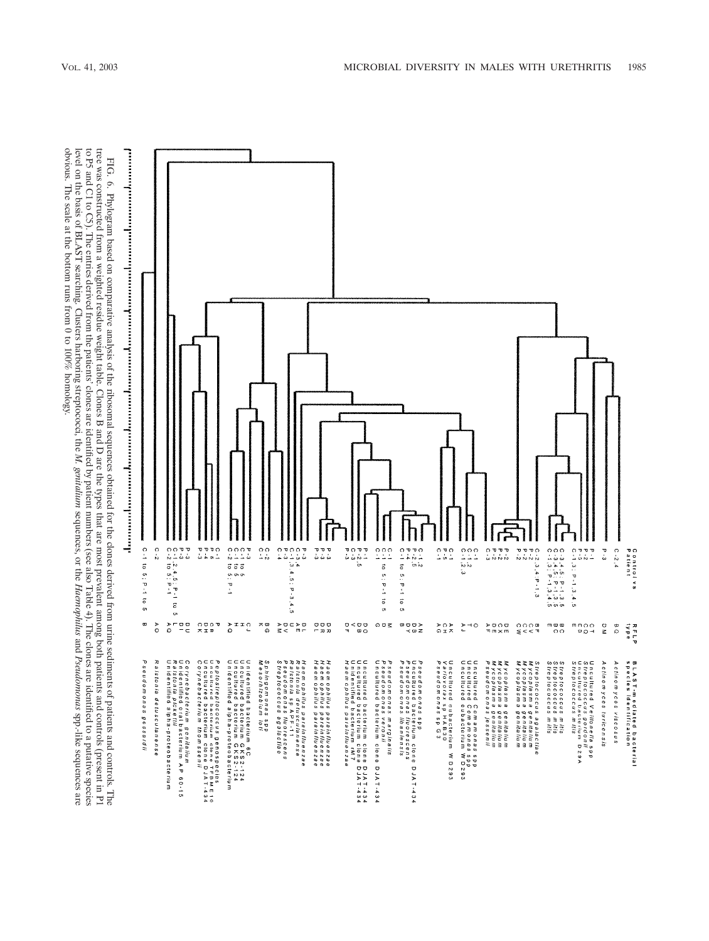